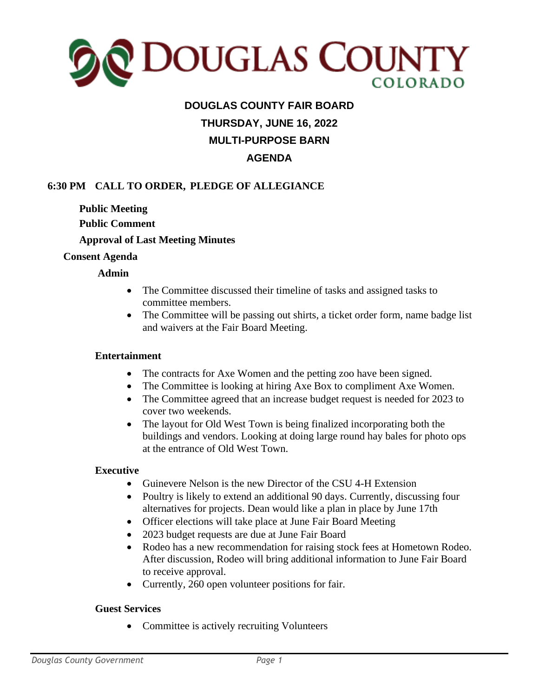

# **DOUGLAS COUNTY FAIR BOARD THURSDAY, JUNE 16, 2022 MULTI-PURPOSE BARN AGENDA**

### **6:30 PM CALL TO ORDER, PLEDGE OF ALLEGIANCE**

**Public Meeting Public Comment Approval of Last Meeting Minutes**

#### **Consent Agenda**

#### **Admin**

- The Committee discussed their timeline of tasks and assigned tasks to committee members.
- The Committee will be passing out shirts, a ticket order form, name badge list and waivers at the Fair Board Meeting.

#### **Entertainment**

- The contracts for Axe Women and the petting zoo have been signed.
- The Committee is looking at hiring Axe Box to compliment Axe Women.
- The Committee agreed that an increase budget request is needed for 2023 to cover two weekends.
- The layout for Old West Town is being finalized incorporating both the buildings and vendors. Looking at doing large round hay bales for photo ops at the entrance of Old West Town.

#### **Executive**

- Guinevere Nelson is the new Director of the CSU 4-H Extension
- Poultry is likely to extend an additional 90 days. Currently, discussing four alternatives for projects. Dean would like a plan in place by June 17th
- Officer elections will take place at June Fair Board Meeting
- 2023 budget requests are due at June Fair Board
- Rodeo has a new recommendation for raising stock fees at Hometown Rodeo. After discussion, Rodeo will bring additional information to June Fair Board to receive approval.
- Currently, 260 open volunteer positions for fair.

#### **Guest Services**

• Committee is actively recruiting Volunteers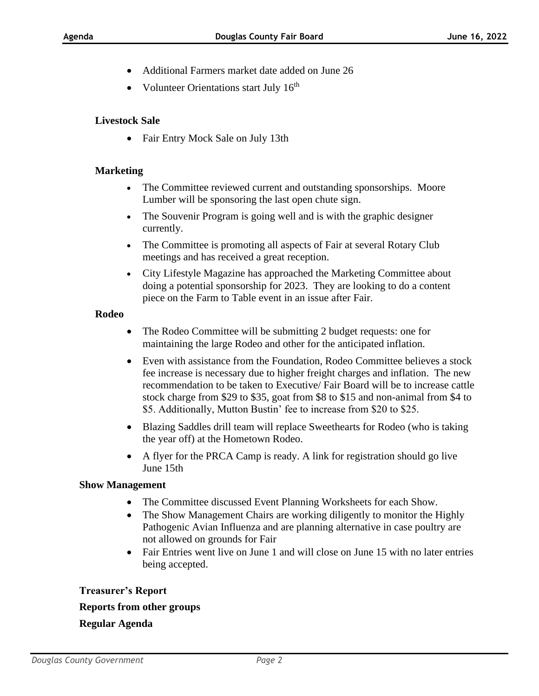- Additional Farmers market date added on June 26
- Volunteer Orientations start July 16<sup>th</sup>

#### **Livestock Sale**

• Fair Entry Mock Sale on July 13th

#### **Marketing**

- The Committee reviewed current and outstanding sponsorships. Moore Lumber will be sponsoring the last open chute sign.
- The Souvenir Program is going well and is with the graphic designer currently.
- The Committee is promoting all aspects of Fair at several Rotary Club meetings and has received a great reception.
- City Lifestyle Magazine has approached the Marketing Committee about doing a potential sponsorship for 2023. They are looking to do a content piece on the Farm to Table event in an issue after Fair.

#### **Rodeo**

- The Rodeo Committee will be submitting 2 budget requests: one for maintaining the large Rodeo and other for the anticipated inflation.
- Even with assistance from the Foundation, Rodeo Committee believes a stock fee increase is necessary due to higher freight charges and inflation. The new recommendation to be taken to Executive/ Fair Board will be to increase cattle stock charge from \$29 to \$35, goat from \$8 to \$15 and non-animal from \$4 to \$5. Additionally, Mutton Bustin' fee to increase from \$20 to \$25.
- Blazing Saddles drill team will replace Sweethearts for Rodeo (who is taking the year off) at the Hometown Rodeo.
- A flyer for the PRCA Camp is ready. A link for registration should go live June 15th

#### **Show Management**

- The Committee discussed Event Planning Worksheets for each Show.
- The Show Management Chairs are working diligently to monitor the Highly Pathogenic Avian Influenza and are planning alternative in case poultry are not allowed on grounds for Fair
- Fair Entries went live on June 1 and will close on June 15 with no later entries being accepted.

## **Treasurer's Report Reports from other groups Regular Agenda**